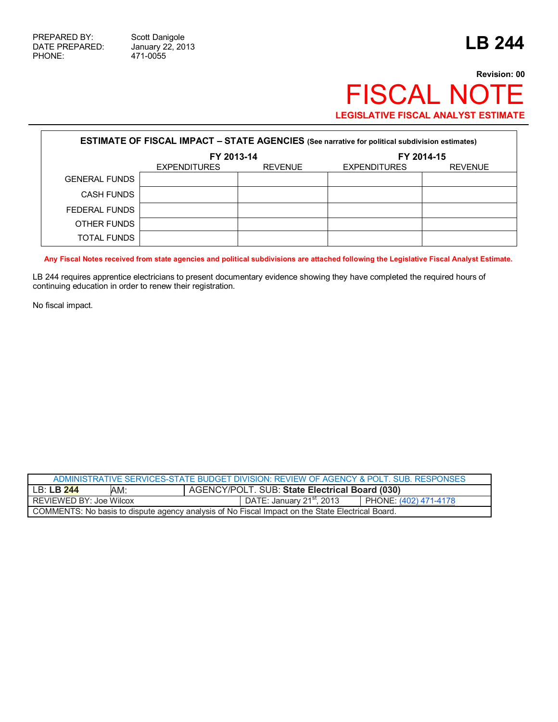471-0055

## **Revision: 00** FISCAL NOTE **LEGISLATIVE FISCAL ANALYST ESTIMATE**

| <b>ESTIMATE OF FISCAL IMPACT - STATE AGENCIES (See narrative for political subdivision estimates)</b> |                     |                |                     |                |
|-------------------------------------------------------------------------------------------------------|---------------------|----------------|---------------------|----------------|
|                                                                                                       | FY 2013-14          |                | FY 2014-15          |                |
|                                                                                                       | <b>EXPENDITURES</b> | <b>REVENUE</b> | <b>EXPENDITURES</b> | <b>REVENUE</b> |
| <b>GENERAL FUNDS</b>                                                                                  |                     |                |                     |                |
| <b>CASH FUNDS</b>                                                                                     |                     |                |                     |                |
| FEDERAL FUNDS                                                                                         |                     |                |                     |                |
| OTHER FUNDS                                                                                           |                     |                |                     |                |
| TOTAL FUNDS                                                                                           |                     |                |                     |                |

**Any Fiscal Notes received from state agencies and political subdivisions are attached following the Legislative Fiscal Analyst Estimate.** 

LB 244 requires apprentice electricians to present documentary evidence showing they have completed the required hours of continuing education in order to renew their registration.

No fiscal impact.

| ADMINISTRATIVE SERVICES-STATE BUDGET DIVISION: REVIEW OF AGENCY & POLT. SUB. RESPONSES           |     |                                                       |                      |  |
|--------------------------------------------------------------------------------------------------|-----|-------------------------------------------------------|----------------------|--|
| LB: <b>LB 244</b>                                                                                | AM: | <b>AGENCY/POLT. SUB: State Electrical Board (030)</b> |                      |  |
| REVIEWED BY: Joe Wilcox                                                                          |     | DATE: January 21 <sup>st</sup> , 2013                 | PHONE (402) 471-4178 |  |
| COMMENTS: No basis to dispute agency analysis of No Fiscal Impact on the State Electrical Board. |     |                                                       |                      |  |